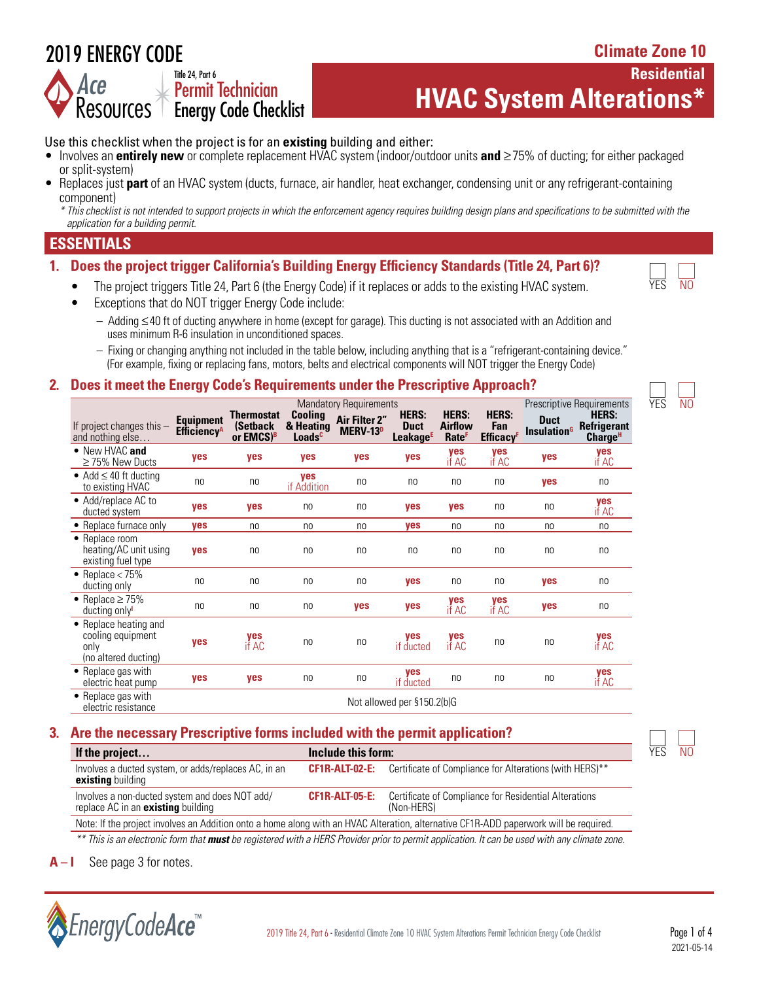# 2019 ENERGY CODE



## **Residential HVAC System Alterations\***

- Use this checklist when the project is for an **existing** building and either:<br>● Involves an **entirely new** or complete replacement HVAC system (indoor/outdoor units **and** ≥75% of ducting; for either packaged or split-syst
- Replaces just **part** of an HVAC system (ducts, furnace, air handler, heat exchanger, condensing unit or any refrigerant-containing component)

*\* This checklist is not intended to support projects in which the enforcement agency requires building design plans and specifications to be submitted with the application for a building permit.*

### **ESSENTIALS**

### **1. Does the project trigger California's Building Energy Efficiency Standards (Title 24, Part 6)?**

- The project triggers Title 24, Part 6 (the Energy Code) if it replaces or adds to the existing HVAC system.
- Exceptions that do NOT trigger Energy Code include:
	- Adding ≤40 ft of ducting anywhere in home (except for garage). This ducting is not associated with an Addition and uses minimum R-6 insulation in unconditioned spaces.
	- Fixing or changing anything not included in the table below, including anything that is a "refrigerant-containing device." (For example, fixing or replacing fans, motors, belts and electrical components will NOT trigger the Energy Code)

### **2. Does it meet the Energy Code's Requirements under the Prescriptive Approach?**

|                                                                            |                                                    | Thermostat                       | Cooling                         | <b>Mandatory Requirements</b>                | <b>HERS:</b>                        | <b>HERS:</b>                               | <b>HERS:</b>                        |                                               | <b>Prescriptive Requirements</b><br><b>HERS:</b> |
|----------------------------------------------------------------------------|----------------------------------------------------|----------------------------------|---------------------------------|----------------------------------------------|-------------------------------------|--------------------------------------------|-------------------------------------|-----------------------------------------------|--------------------------------------------------|
| If project changes this -<br>and nothing else                              | <b>Equipment</b><br><b>Efficiency</b> <sup>A</sup> | (Setback<br>or EMCS <sup>B</sup> | & Heating<br>Loads <sup>c</sup> | Air Filter 2"<br><b>MERV-13</b> <sup>D</sup> | <b>Duct</b><br>Leakage <sup>E</sup> | <b>Airflow</b><br><b>Rate</b> <sup>F</sup> | Fan<br><b>Efficacy</b> <sup>F</sup> | <b>Duct</b><br><b>Insulation</b> <sup>G</sup> | Refrigerant<br>Charge <sup>H</sup>               |
| • New HVAC and<br>$\geq$ 75% New Ducts                                     | ves                                                | yes                              | ves                             | yes                                          | yes                                 | yes<br>if AC                               | yes<br>if AC                        | yes                                           | <b>ves</b><br>if AC                              |
| • Add $\leq 40$ ft ducting<br>to existing HVAC                             | n <sub>0</sub>                                     | n <sub>0</sub>                   | <b>ves</b><br>if Addition       | n <sub>0</sub>                               | n <sub>0</sub>                      | n <sub>0</sub>                             | no                                  | yes                                           | n <sub>0</sub>                                   |
| • Add/replace AC to<br>ducted system                                       | yes                                                | yes                              | no                              | n <sub>0</sub>                               | yes                                 | yes                                        | no                                  | no                                            | yes<br>if AC                                     |
| Replace furnace only                                                       | <b>ves</b>                                         | n <sub>0</sub>                   | n <sub>0</sub>                  | n <sub>0</sub>                               | yes                                 | n <sub>0</sub>                             | n <sub>0</sub>                      | n <sub>0</sub>                                | n <sub>0</sub>                                   |
| • Replace room<br>heating/AC unit using<br>existing fuel type              | <b>ves</b>                                         | n <sub>0</sub>                   | n <sub>0</sub>                  | n <sub>0</sub>                               | n <sub>0</sub>                      | n <sub>0</sub>                             | n <sub>0</sub>                      | no                                            | n <sub>0</sub>                                   |
| • Replace $< 75\%$<br>ducting only                                         | no                                                 | no                               | no                              | no                                           | yes                                 | no                                         | no                                  | yes                                           | no                                               |
| • Replace $\geq 75\%$<br>ducting only                                      | no                                                 | no                               | no                              | yes                                          | yes                                 | yes<br>if AC                               | yes<br>if AC                        | yes                                           | no                                               |
| • Replace heating and<br>cooling equipment<br>only<br>(no altered ducting) | yes                                                | yes<br>if AC                     | no                              | n <sub>0</sub>                               | <b>ves</b><br>if ducted             | yes<br>if AC                               | n <sub>0</sub>                      | no                                            | yes<br>if AC                                     |
| • Replace gas with<br>electric heat pump                                   | yes                                                | yes                              | n <sub>0</sub>                  | n <sub>0</sub>                               | yes<br>if ducted                    | n <sub>0</sub>                             | n <sub>0</sub>                      | no                                            | <b>ves</b><br>if AC                              |
| • Replace gas with<br>electric resistance                                  |                                                    | Not allowed per §150.2(b)G       |                                 |                                              |                                     |                                            |                                     |                                               |                                                  |

### **3. Are the necessary Prescriptive forms included with the permit application?**

| If the project                                                                                                                        | Include this form: |                                                                                           |  |  |  |  |
|---------------------------------------------------------------------------------------------------------------------------------------|--------------------|-------------------------------------------------------------------------------------------|--|--|--|--|
| Involves a ducted system, or adds/replaces AC, in an<br><b>existing</b> building                                                      |                    | <b>CF1R-ALT-02-E:</b> Certificate of Compliance for Alterations (with HERS)**             |  |  |  |  |
| Involves a non-ducted system and does NOT add/<br>replace AC in an <b>existing</b> building                                           |                    | <b>CF1R-ALT-05-E:</b> Certificate of Compliance for Residential Alterations<br>(Non-HERS) |  |  |  |  |
| Note: If the project involves an Addition onto a home along with an HVAC Alteration, alternative CF1R-ADD paperwork will be required. |                    |                                                                                           |  |  |  |  |

*\*\* This is an electronic form that must be registered with a HERS Provider prior to permit application. It can be used with any climate zone.*

**A – I** See page 3 for notes.





YES NO

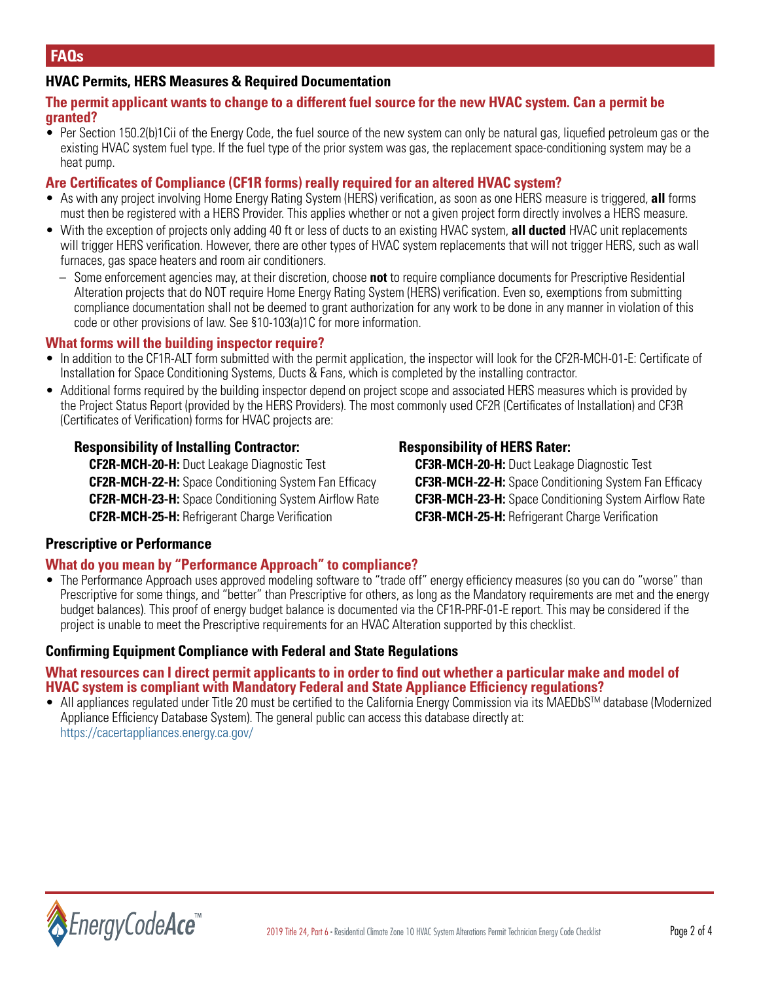### **HVAC Permits, HERS Measures & Required Documentation**

### **The permit applicant wants to change to a different fuel source for the new HVAC system. Can a permit be granted?**

• Per Section 150.2(b)1Cii of the Energy Code, the fuel source of the new system can only be natural gas, liquefied petroleum gas or the existing HVAC system fuel type. If the fuel type of the prior system was gas, the replacement space-conditioning system may be a heat pump.

### **Are Certificates of Compliance (CF1R forms) really required for an altered HVAC system?**

- As with any project involving Home Energy Rating System (HERS) verification, as soon as one HERS measure is triggered, **all** forms must then be registered with a HERS Provider. This applies whether or not a given project form directly involves a HERS measure.
- With the exception of projects only adding 40 ft or less of ducts to an existing HVAC system, **all ducted** HVAC unit replacements will trigger HERS verification. However, there are other types of HVAC system replacements that will not trigger HERS, such as wall furnaces, gas space heaters and room air conditioners.
	- Some enforcement agencies may, at their discretion, choose **not** to require compliance documents for Prescriptive Residential Alteration projects that do NOT require Home Energy Rating System (HERS) verification. Even so, exemptions from submitting compliance documentation shall not be deemed to grant authorization for any work to be done in any manner in violation of this code or other provisions of law. See §10-103(a)1C for more information.

### **What forms will the building inspector require?**

- In addition to the CF1R-ALT form submitted with the permit application, the inspector will look for the CF2R-MCH-01-E: Certificate of Installation for Space Conditioning Systems, Ducts & Fans, which is completed by the installing contractor.
- Additional forms required by the building inspector depend on project scope and associated HERS measures which is provided by the Project Status Report (provided by the HERS Providers). The most commonly used CF2R (Certificates of Installation) and CF3R (Certificates of Verification) forms for HVAC projects are:

### **Responsibility of Installing Contractor: Responsibility of HERS Rater:**

 **CF2R-MCH-20-H:** Duct Leakage Diagnostic Test **CF3R-MCH-20-H:** Duct Leakage Diagnostic Test **CF2R-MCH-22-H:** Space Conditioning System Fan Efficacy **CF3R-MCH-22-H:** Space Conditioning System Fan Efficacy **CF2R-MCH-23-H:** Space Conditioning System Airflow Rate **CF3R-MCH-23-H:** Space Conditioning System Airflow Rate **CF2R-MCH-25-H:** Refrigerant Charge Verification **CF3R-MCH-25-H:** Refrigerant Charge Verification

### **Prescriptive or Performance**

### **What do you mean by "Performance Approach" to compliance?**

• The Performance Approach uses approved modeling software to "trade off" energy efficiency measures (so you can do "worse" than Prescriptive for some things, and "better" than Prescriptive for others, as long as the Mandatory requirements are met and the energy budget balances). This proof of energy budget balance is documented via the CF1R-PRF-01-E report. This may be considered if the project is unable to meet the Prescriptive requirements for an HVAC Alteration supported by this checklist.

### **Confirming Equipment Compliance with Federal and State Regulations**

### **What resources can I direct permit applicants to in order to find out whether a particular make and model of HVAC system is compliant with Mandatory Federal and State Appliance Efficiency regulations?**

• All appliances regulated under Title 20 must be certified to the California Energy Commission via its MAEDbS<sup>TM</sup> database (Modernized Appliance Efficiency Database System). The general public can access this database directly at: <https://cacertappliances.energy.ca.gov/>

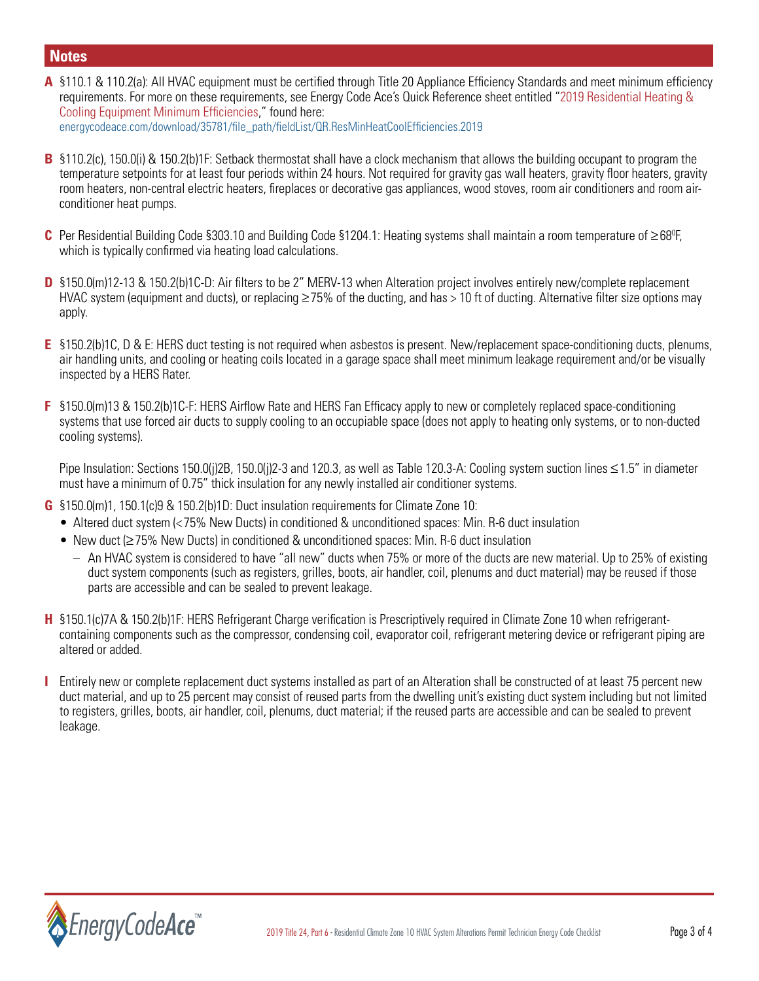### **Notes**

- **A** §110.1 & 110.2(a): All HVAC equipment must be certified through Title 20 Appliance Efficiency Standards and meet minimum efficiency requirements. For more on these requirements, see Energy Code Ace's Quick Reference sheet entitled "2019 Residential Heating & Cooling Equipment Minimum Efficiencies," found here: [energycodeace.com/download/35781/file\\_path/fieldList/QR.ResMinHeatCoolEfficiencies.2019](http://energycodeace.com/download/35781/file_path/fieldList/QR.ResMinHeatCoolEfficiencies.2019)
- **B** §110.2(c), 150.0(i) & 150.2(b)1F: Setback thermostat shall have a clock mechanism that allows the building occupant to program the temperature setpoints for at least four periods within 24 hours. Not required for gravity gas wall heaters, gravity floor heaters, gravity room heaters, non-central electric heaters, fireplaces or decorative gas appliances, wood stoves, room air conditioners and room airconditioner heat pumps.
- C Per Residential Building Code §303.10 and Building Code §1204.1: Heating systems shall maintain a room temperature of ≥68<sup>0</sup>F, which is typically confirmed via heating load calculations.
- **D** §150.0(m)12-13 & 150.2(b)1C-D: Air filters to be 2" MERV-13 when Alteration project involves entirely new/complete replacement HVAC system (equipment and ducts), or replacing  $\geq 75\%$  of the ducting, and has > 10 ft of ducting. Alternative filter size options may apply.
- **E** §150.2(b)1C, D & E: HERS duct testing is not required when asbestos is present. New/replacement space-conditioning ducts, plenums, air handling units, and cooling or heating coils located in a garage space shall meet minimum leakage requirement and/or be visually inspected by a HERS Rater.
- **F** §150.0(m)13 & 150.2(b)1C-F: HERS Airflow Rate and HERS Fan Efficacy apply to new or completely replaced space-conditioning systems that use forced air ducts to supply cooling to an occupiable space (does not apply to heating only systems, or to non-ducted cooling systems).

Pipe Insulation: Sections 150.0(j)2B, 150.0(j)2-3 and 120.3, as well as Table 120.3-A: Cooling system suction lines ≤1.5" in diameter must have a minimum of 0.75" thick insulation for any newly installed air conditioner systems.

- **G** §150.0(m)1, 150.1(c)9 & 150.2(b)1D: Duct insulation requirements for Climate Zone 10:
	- Altered duct system (< 75% New Ducts) in conditioned & unconditioned spaces: Min. R-6 duct insulation
	- New duct (≥75% New Ducts) in conditioned & unconditioned spaces: Min. R-6 duct insulation
		- An HVAC system is considered to have "all new" ducts when 75% or more of the ducts are new material. Up to 25% of existing duct system components (such as registers, grilles, boots, air handler, coil, plenums and duct material) may be reused if those parts are accessible and can be sealed to prevent leakage.
- **H** §150.1(c)7A & 150.2(b)1F: HERS Refrigerant Charge verification is Prescriptively required in Climate Zone 10 when refrigerantcontaining components such as the compressor, condensing coil, evaporator coil, refrigerant metering device or refrigerant piping are altered or added.
- **I** Entirely new or complete replacement duct systems installed as part of an Alteration shall be constructed of at least 75 percent new duct material, and up to 25 percent may consist of reused parts from the dwelling unit's existing duct system including but not limited to registers, grilles, boots, air handler, coil, plenums, duct material; if the reused parts are accessible and can be sealed to prevent leakage.